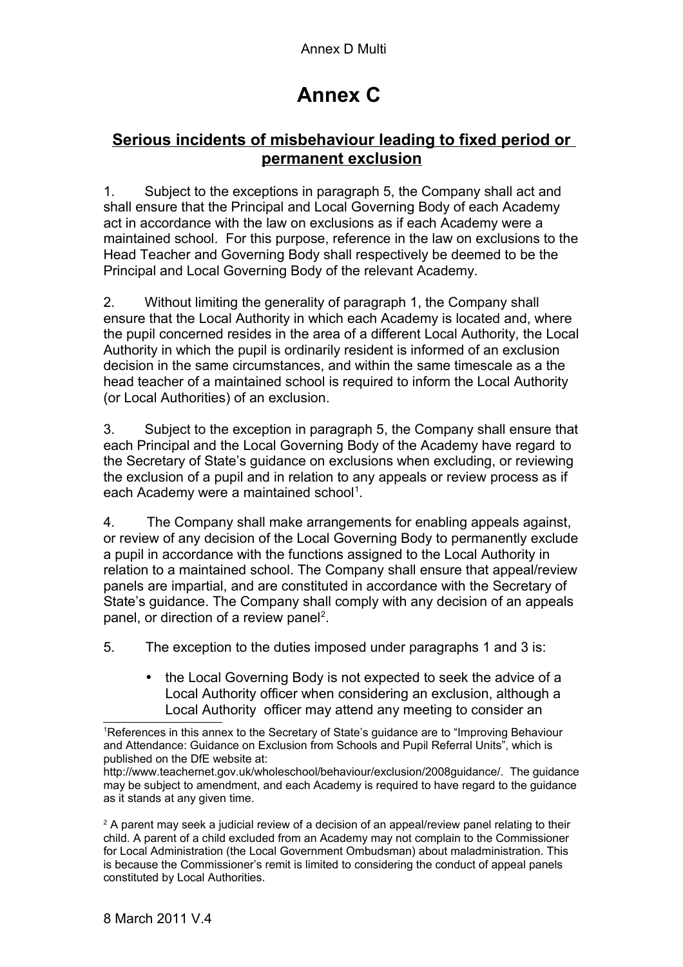## **Annex C**

## **Serious incidents of misbehaviour leading to fixed period or permanent exclusion**

1. Subject to the exceptions in paragraph 5, the Company shall act and shall ensure that the Principal and Local Governing Body of each Academy act in accordance with the law on exclusions as if each Academy were a maintained school. For this purpose, reference in the law on exclusions to the Head Teacher and Governing Body shall respectively be deemed to be the Principal and Local Governing Body of the relevant Academy.

2. Without limiting the generality of paragraph 1, the Company shall ensure that the Local Authority in which each Academy is located and, where the pupil concerned resides in the area of a different Local Authority, the Local Authority in which the pupil is ordinarily resident is informed of an exclusion decision in the same circumstances, and within the same timescale as a the head teacher of a maintained school is required to inform the Local Authority (or Local Authorities) of an exclusion.

3. Subject to the exception in paragraph 5, the Company shall ensure that each Principal and the Local Governing Body of the Academy have regard to the Secretary of State's guidance on exclusions when excluding, or reviewing the exclusion of a pupil and in relation to any appeals or review process as if each Academy were a maintained school<sup>[1](#page-0-0)</sup>.

4. The Company shall make arrangements for enabling appeals against, or review of any decision of the Local Governing Body to permanently exclude a pupil in accordance with the functions assigned to the Local Authority in relation to a maintained school. The Company shall ensure that appeal/review panels are impartial, and are constituted in accordance with the Secretary of State's guidance. The Company shall comply with any decision of an appeals panel, or direction of a review panel<sup>[2](#page-0-1)</sup>.

5. The exception to the duties imposed under paragraphs 1 and 3 is:

• the Local Governing Body is not expected to seek the advice of a Local Authority officer when considering an exclusion, although a Local Authority officer may attend any meeting to consider an

<span id="page-0-0"></span><sup>1</sup>References in this annex to the Secretary of State's guidance are to "Improving Behaviour and Attendance: Guidance on Exclusion from Schools and Pupil Referral Units", which is published on the DfE website at:

http://www.teachernet.gov.uk/wholeschool/behaviour/exclusion/2008guidance/. The guidance may be subject to amendment, and each Academy is required to have regard to the guidance as it stands at any given time.

<span id="page-0-1"></span> $^{\text{2}}$  A parent may seek a judicial review of a decision of an appeal/review panel relating to their child. A parent of a child excluded from an Academy may not complain to the Commissioner for Local Administration (the Local Government Ombudsman) about maladministration. This is because the Commissioner's remit is limited to considering the conduct of appeal panels constituted by Local Authorities.